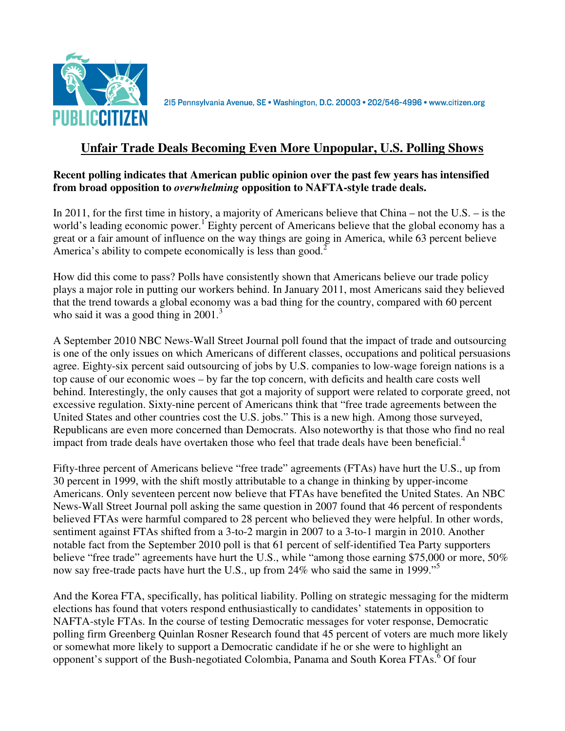

215 Pennsylvania Avenue, SE · Washington, D.C. 20003 · 202/546-4996 · www.citizen.org

# **Unfair Trade Deals Becoming Even More Unpopular, U.S. Polling Shows**

#### **Recent polling indicates that American public opinion over the past few years has intensified from broad opposition to** *overwhelming* **opposition to NAFTA-style trade deals.**

In 2011, for the first time in history, a majority of Americans believe that China – not the U.S. – is the world's leading economic power.<sup>1</sup> Eighty percent of Americans believe that the global economy has a great or a fair amount of influence on the way things are going in America, while 63 percent believe America's ability to compete economically is less than good.<sup>2</sup>

How did this come to pass? Polls have consistently shown that Americans believe our trade policy plays a major role in putting our workers behind. In January 2011, most Americans said they believed that the trend towards a global economy was a bad thing for the country, compared with 60 percent who said it was a good thing in  $2001$ <sup>3</sup>

A September 2010 NBC News-Wall Street Journal poll found that the impact of trade and outsourcing is one of the only issues on which Americans of different classes, occupations and political persuasions agree. Eighty-six percent said outsourcing of jobs by U.S. companies to low-wage foreign nations is a top cause of our economic woes – by far the top concern, with deficits and health care costs well behind. Interestingly, the only causes that got a majority of support were related to corporate greed, not excessive regulation. Sixty-nine percent of Americans think that "free trade agreements between the United States and other countries cost the U.S. jobs." This is a new high. Among those surveyed, Republicans are even more concerned than Democrats. Also noteworthy is that those who find no real impact from trade deals have overtaken those who feel that trade deals have been beneficial. $4$ 

Fifty-three percent of Americans believe "free trade" agreements (FTAs) have hurt the U.S., up from 30 percent in 1999, with the shift mostly attributable to a change in thinking by upper-income Americans. Only seventeen percent now believe that FTAs have benefited the United States. An NBC News-Wall Street Journal poll asking the same question in 2007 found that 46 percent of respondents believed FTAs were harmful compared to 28 percent who believed they were helpful. In other words, sentiment against FTAs shifted from a 3-to-2 margin in 2007 to a 3-to-1 margin in 2010. Another notable fact from the September 2010 poll is that 61 percent of self-identified Tea Party supporters believe "free trade" agreements have hurt the U.S., while "among those earning \$75,000 or more, 50% now say free-trade pacts have hurt the U.S., up from 24% who said the same in 1999."<sup>5</sup>

And the Korea FTA, specifically, has political liability. Polling on strategic messaging for the midterm elections has found that voters respond enthusiastically to candidates' statements in opposition to NAFTA-style FTAs. In the course of testing Democratic messages for voter response, Democratic polling firm Greenberg Quinlan Rosner Research found that 45 percent of voters are much more likely or somewhat more likely to support a Democratic candidate if he or she were to highlight an opponent's support of the Bush-negotiated Colombia, Panama and South Korea FTAs.<sup>6</sup> Of four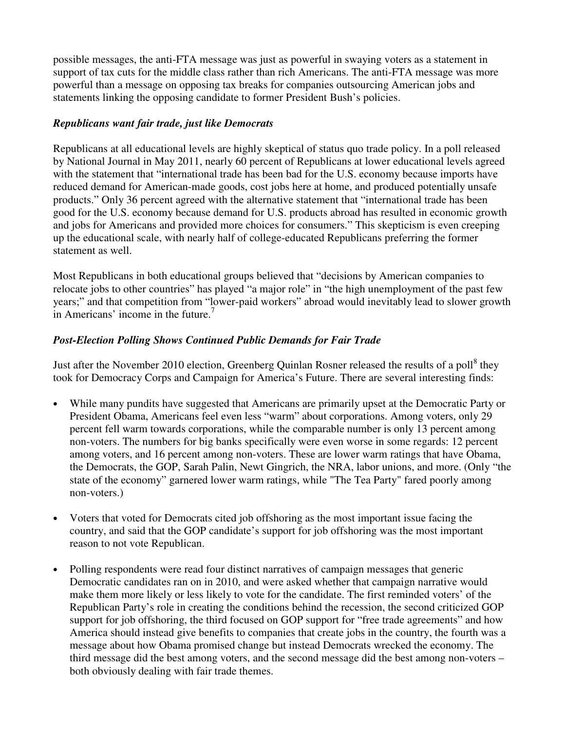possible messages, the anti-FTA message was just as powerful in swaying voters as a statement in support of tax cuts for the middle class rather than rich Americans. The anti-FTA message was more powerful than a message on opposing tax breaks for companies outsourcing American jobs and statements linking the opposing candidate to former President Bush's policies.

### *Republicans want fair trade, just like Democrats*

Republicans at all educational levels are highly skeptical of status quo trade policy. In a poll released by National Journal in May 2011, nearly 60 percent of Republicans at lower educational levels agreed with the statement that "international trade has been bad for the U.S. economy because imports have reduced demand for American-made goods, cost jobs here at home, and produced potentially unsafe products." Only 36 percent agreed with the alternative statement that "international trade has been good for the U.S. economy because demand for U.S. products abroad has resulted in economic growth and jobs for Americans and provided more choices for consumers." This skepticism is even creeping up the educational scale, with nearly half of college-educated Republicans preferring the former statement as well.

Most Republicans in both educational groups believed that "decisions by American companies to relocate jobs to other countries" has played "a major role" in "the high unemployment of the past few years;" and that competition from "lower-paid workers" abroad would inevitably lead to slower growth in Americans' income in the future.<sup>7</sup>

## *Post-Election Polling Shows Continued Public Demands for Fair Trade*

Just after the November 2010 election, Greenberg Quinlan Rosner released the results of a poll<sup>8</sup> they took for Democracy Corps and Campaign for America's Future. There are several interesting finds:

- While many pundits have suggested that Americans are primarily upset at the Democratic Party or President Obama, Americans feel even less "warm" about corporations. Among voters, only 29 percent fell warm towards corporations, while the comparable number is only 13 percent among non-voters. The numbers for big banks specifically were even worse in some regards: 12 percent among voters, and 16 percent among non-voters. These are lower warm ratings that have Obama, the Democrats, the GOP, Sarah Palin, Newt Gingrich, the NRA, labor unions, and more. (Only "the state of the economy" garnered lower warm ratings, while "The Tea Party" fared poorly among non-voters.)
- Voters that voted for Democrats cited job offshoring as the most important issue facing the country, and said that the GOP candidate's support for job offshoring was the most important reason to not vote Republican.
- Polling respondents were read four distinct narratives of campaign messages that generic Democratic candidates ran on in 2010, and were asked whether that campaign narrative would make them more likely or less likely to vote for the candidate. The first reminded voters' of the Republican Party's role in creating the conditions behind the recession, the second criticized GOP support for job offshoring, the third focused on GOP support for "free trade agreements" and how America should instead give benefits to companies that create jobs in the country, the fourth was a message about how Obama promised change but instead Democrats wrecked the economy. The third message did the best among voters, and the second message did the best among non-voters – both obviously dealing with fair trade themes.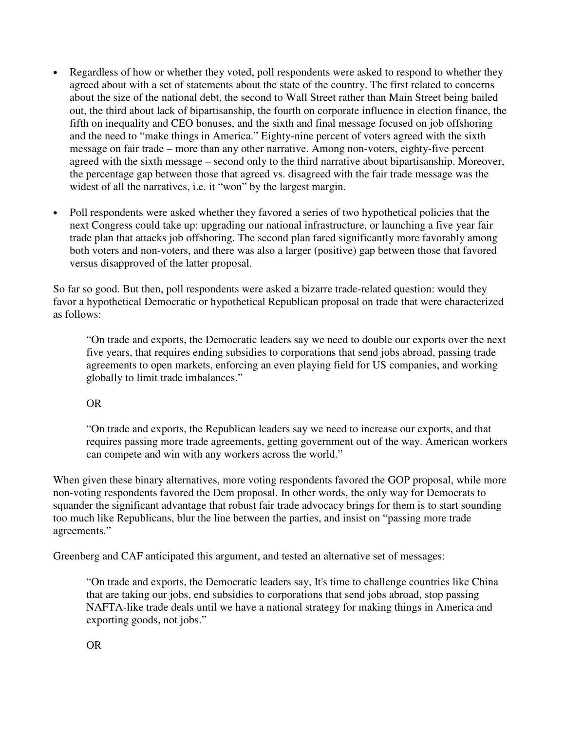- Regardless of how or whether they voted, poll respondents were asked to respond to whether they agreed about with a set of statements about the state of the country. The first related to concerns about the size of the national debt, the second to Wall Street rather than Main Street being bailed out, the third about lack of bipartisanship, the fourth on corporate influence in election finance, the fifth on inequality and CEO bonuses, and the sixth and final message focused on job offshoring and the need to "make things in America." Eighty-nine percent of voters agreed with the sixth message on fair trade – more than any other narrative. Among non-voters, eighty-five percent agreed with the sixth message – second only to the third narrative about bipartisanship. Moreover, the percentage gap between those that agreed vs. disagreed with the fair trade message was the widest of all the narratives, i.e. it "won" by the largest margin.
- Poll respondents were asked whether they favored a series of two hypothetical policies that the next Congress could take up: upgrading our national infrastructure, or launching a five year fair trade plan that attacks job offshoring. The second plan fared significantly more favorably among both voters and non-voters, and there was also a larger (positive) gap between those that favored versus disapproved of the latter proposal.

So far so good. But then, poll respondents were asked a bizarre trade-related question: would they favor a hypothetical Democratic or hypothetical Republican proposal on trade that were characterized as follows:

"On trade and exports, the Democratic leaders say we need to double our exports over the next five years, that requires ending subsidies to corporations that send jobs abroad, passing trade agreements to open markets, enforcing an even playing field for US companies, and working globally to limit trade imbalances."

### OR

"On trade and exports, the Republican leaders say we need to increase our exports, and that requires passing more trade agreements, getting government out of the way. American workers can compete and win with any workers across the world."

When given these binary alternatives, more voting respondents favored the GOP proposal, while more non-voting respondents favored the Dem proposal. In other words, the only way for Democrats to squander the significant advantage that robust fair trade advocacy brings for them is to start sounding too much like Republicans, blur the line between the parties, and insist on "passing more trade agreements."

Greenberg and CAF anticipated this argument, and tested an alternative set of messages:

"On trade and exports, the Democratic leaders say, It's time to challenge countries like China that are taking our jobs, end subsidies to corporations that send jobs abroad, stop passing NAFTA-like trade deals until we have a national strategy for making things in America and exporting goods, not jobs."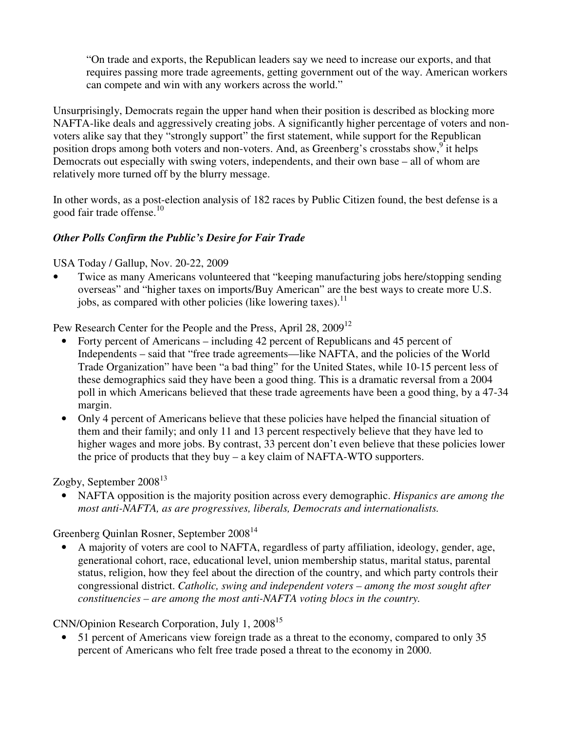"On trade and exports, the Republican leaders say we need to increase our exports, and that requires passing more trade agreements, getting government out of the way. American workers can compete and win with any workers across the world."

Unsurprisingly, Democrats regain the upper hand when their position is described as blocking more NAFTA-like deals and aggressively creating jobs. A significantly higher percentage of voters and nonvoters alike say that they "strongly support" the first statement, while support for the Republican position drops among both voters and non-voters. And, as Greenberg's crosstabs show,<sup>9</sup> it helps Democrats out especially with swing voters, independents, and their own base – all of whom are relatively more turned off by the blurry message.

In other words, as a post-election analysis of 182 races by Public Citizen found, the best defense is a good fair trade offense.<sup>10</sup>

### *Other Polls Confirm the Public's Desire for Fair Trade*

USA Today / Gallup, Nov. 20-22, 2009

• Twice as many Americans volunteered that "keeping manufacturing jobs here/stopping sending overseas" and "higher taxes on imports/Buy American" are the best ways to create more U.S. jobs, as compared with other policies (like lowering taxes).<sup>11</sup>

Pew Research Center for the People and the Press, April 28, 2009<sup>12</sup>

- Forty percent of Americans including 42 percent of Republicans and 45 percent of Independents – said that "free trade agreements—like NAFTA, and the policies of the World Trade Organization" have been "a bad thing" for the United States, while 10-15 percent less of these demographics said they have been a good thing. This is a dramatic reversal from a 2004 poll in which Americans believed that these trade agreements have been a good thing, by a 47-34 margin.
- Only 4 percent of Americans believe that these policies have helped the financial situation of them and their family; and only 11 and 13 percent respectively believe that they have led to higher wages and more jobs. By contrast, 33 percent don't even believe that these policies lower the price of products that they buy – a key claim of NAFTA-WTO supporters.

Zogby, September 2008 $^{13}$ 

• NAFTA opposition is the majority position across every demographic. *Hispanics are among the most anti-NAFTA, as are progressives, liberals, Democrats and internationalists.* 

Greenberg Quinlan Rosner, September 2008<sup>14</sup>

• A majority of voters are cool to NAFTA, regardless of party affiliation, ideology, gender, age, generational cohort, race, educational level, union membership status, marital status, parental status, religion, how they feel about the direction of the country, and which party controls their congressional district. *Catholic, swing and independent voters – among the most sought after constituencies – are among the most anti-NAFTA voting blocs in the country.*

CNN/Opinion Research Corporation, July 1, 2008<sup>15</sup>

• 51 percent of Americans view foreign trade as a threat to the economy, compared to only 35 percent of Americans who felt free trade posed a threat to the economy in 2000.